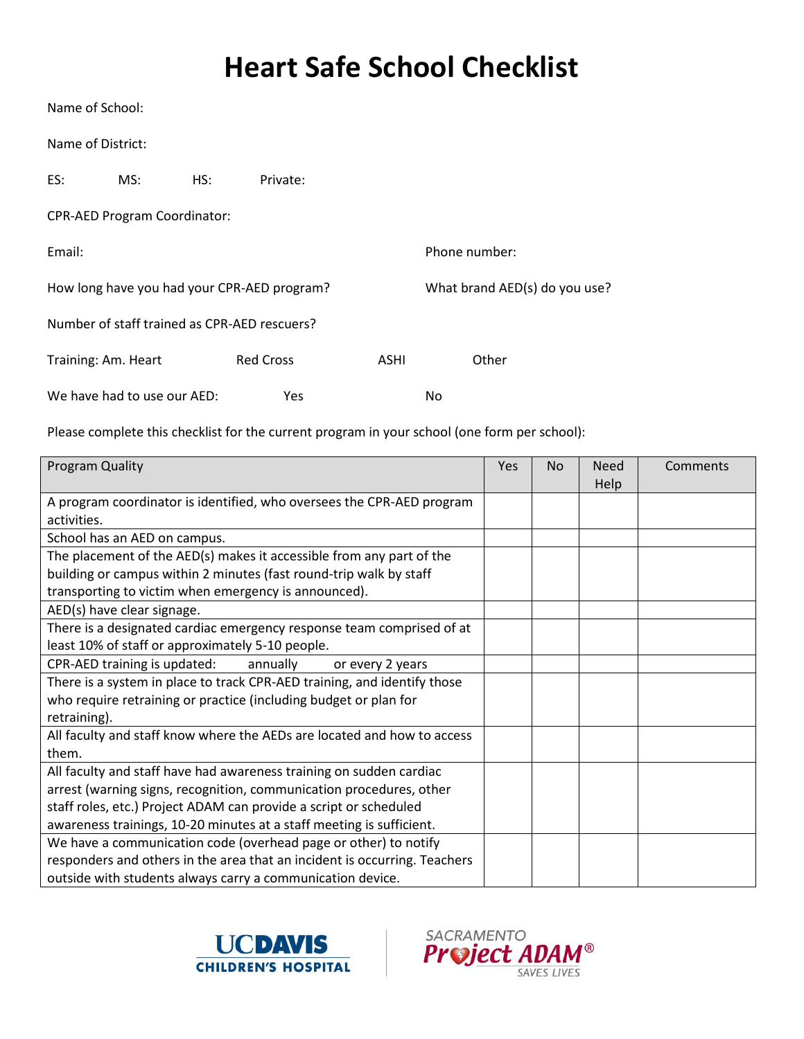## **Heart Safe School Checklist**

Name of School:

Name of District:

| ES:                 | MS:                                         | HS:                           | Private:                                     |      |       |  |
|---------------------|---------------------------------------------|-------------------------------|----------------------------------------------|------|-------|--|
|                     | <b>CPR-AED Program Coordinator:</b>         |                               |                                              |      |       |  |
| Email:              |                                             | Phone number:                 |                                              |      |       |  |
|                     | How long have you had your CPR-AED program? | What brand AED(s) do you use? |                                              |      |       |  |
|                     |                                             |                               | Number of staff trained as CPR-AED rescuers? |      |       |  |
| Training: Am. Heart |                                             |                               | <b>Red Cross</b>                             | ASHI | Other |  |
|                     | We have had to use our AED:                 |                               | Yes                                          |      | No    |  |

Please complete this checklist for the current program in your school (one form per school):

| Program Quality                                                           | Yes | <b>No</b> | <b>Need</b><br><b>Help</b> | Comments |
|---------------------------------------------------------------------------|-----|-----------|----------------------------|----------|
| A program coordinator is identified, who oversees the CPR-AED program     |     |           |                            |          |
| activities.                                                               |     |           |                            |          |
| School has an AED on campus.                                              |     |           |                            |          |
| The placement of the AED(s) makes it accessible from any part of the      |     |           |                            |          |
| building or campus within 2 minutes (fast round-trip walk by staff        |     |           |                            |          |
| transporting to victim when emergency is announced).                      |     |           |                            |          |
| AED(s) have clear signage.                                                |     |           |                            |          |
| There is a designated cardiac emergency response team comprised of at     |     |           |                            |          |
| least 10% of staff or approximately 5-10 people.                          |     |           |                            |          |
| CPR-AED training is updated:<br>annually<br>or every 2 years              |     |           |                            |          |
| There is a system in place to track CPR-AED training, and identify those  |     |           |                            |          |
| who require retraining or practice (including budget or plan for          |     |           |                            |          |
| retraining).                                                              |     |           |                            |          |
| All faculty and staff know where the AEDs are located and how to access   |     |           |                            |          |
| them.                                                                     |     |           |                            |          |
| All faculty and staff have had awareness training on sudden cardiac       |     |           |                            |          |
| arrest (warning signs, recognition, communication procedures, other       |     |           |                            |          |
| staff roles, etc.) Project ADAM can provide a script or scheduled         |     |           |                            |          |
| awareness trainings, 10-20 minutes at a staff meeting is sufficient.      |     |           |                            |          |
| We have a communication code (overhead page or other) to notify           |     |           |                            |          |
| responders and others in the area that an incident is occurring. Teachers |     |           |                            |          |
| outside with students always carry a communication device.                |     |           |                            |          |